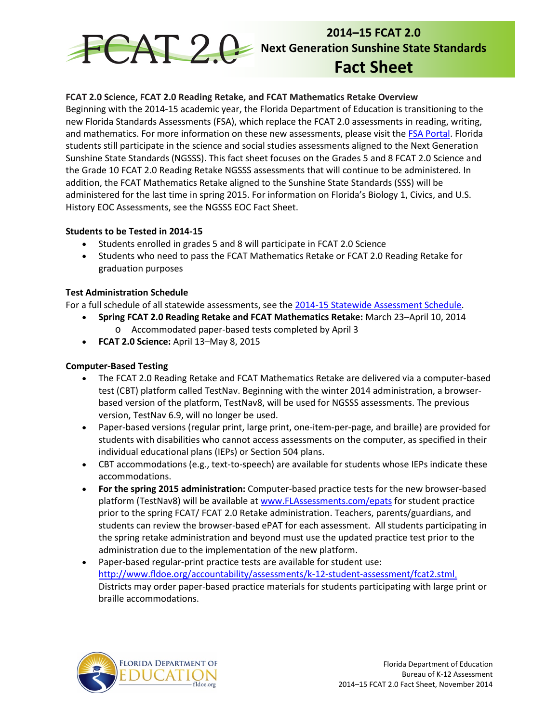

# **FCAT 2.0 Science, FCAT 2.0 Reading Retake, and FCAT Mathematics Retake Overview**

Beginning with the 2014-15 academic year, the Florida Department of Education is transitioning to the new Florida Standards Assessments (FSA), which replace the FCAT 2.0 assessments in reading, writing, and mathematics. For more information on these new assessments, please visit the [FSA Portal.](http://www.fsassessments.org/) Florida students still participate in the science and social studies assessments aligned to the Next Generation Sunshine State Standards (NGSSS). This fact sheet focuses on the Grades 5 and 8 FCAT 2.0 Science and the Grade 10 FCAT 2.0 Reading Retake NGSSS assessments that will continue to be administered. In addition, the FCAT Mathematics Retake aligned to the Sunshine State Standards (SSS) will be administered for the last time in spring 2015. For information on Florida's Biology 1, Civics, and U.S. History EOC Assessments, see the NGSSS EOC Fact Sheet.

### **Students to be Tested in 2014-15**

- Students enrolled in grades 5 and 8 will participate in FCAT 2.0 Science
- Students who need to pass the FCAT Mathematics Retake or FCAT 2.0 Reading Retake for graduation purposes

### **Test Administration Schedule**

For a full schedule of all statewide assessments, see the [2014-15 Statewide Assessment Schedule.](http://info.fldoe.org/docushare/dsweb/Get/Document-7047/dps-2014-81a.pdf)

- **Spring FCAT 2.0 Reading Retake and FCAT Mathematics Retake:** March 23–April 10, 2014 o Accommodated paper-based tests completed by April 3
- **FCAT 2.0 Science:** April 13–May 8, 2015

## **Computer-Based Testing**

- The FCAT 2.0 Reading Retake and FCAT Mathematics Retake are delivered via a computer-based test (CBT) platform called TestNav. Beginning with the winter 2014 administration, a browserbased version of the platform, TestNav8, will be used for NGSSS assessments. The previous version, TestNav 6.9, will no longer be used.
- Paper-based versions (regular print, large print, one-item-per-page, and braille) are provided for students with disabilities who cannot access assessments on the computer, as specified in their individual educational plans (IEPs) or Section 504 plans.
- CBT accommodations (e.g., text-to-speech) are available for students whose IEPs indicate these accommodations.
- **For the spring 2015 administration:** Computer-based practice tests for the new browser-based platform (TestNav8) will be available a[t www.FLAssessments.com/epats](http://www.flassessments.com/epats) for student practice prior to the spring FCAT/ FCAT 2.0 Retake administration. Teachers, parents/guardians, and students can review the browser-based ePAT for each assessment. All students participating in the spring retake administration and beyond must use the updated practice test prior to the administration due to the implementation of the new platform.
- Paper-based regular-print practice tests are available for student use: [http://www.fldoe.org/accountability/assessments/k-12-student-assessment/fcat2.stml.](http://www.fldoe.org/accountability/assessments/k-12-student-assessment/fcat2.stml) Districts may order paper-based practice materials for students participating with large print or braille accommodations.

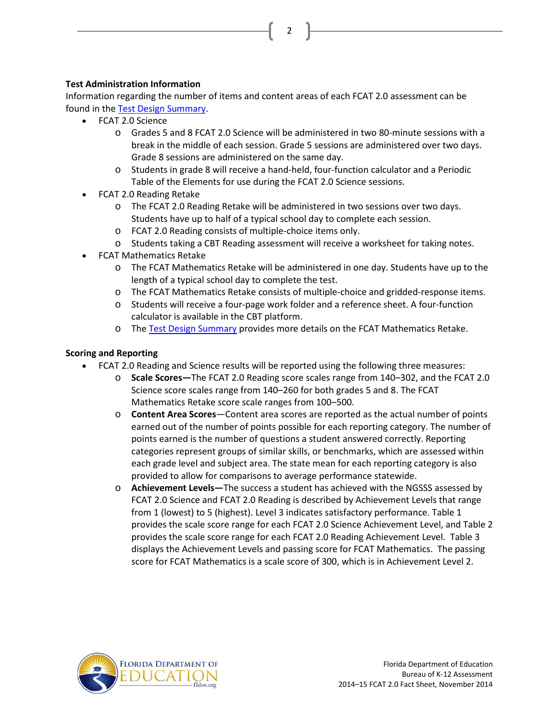2

# **Test Administration Information**

Information regarding the number of items and content areas of each FCAT 2.0 assessment can be found in the [Test Design Summary.](http://www.fldoe.org/core/fileparse.php/3/urlt/designsummary.pdf)

- FCAT 2.0 Science
	- o Grades 5 and 8 FCAT 2.0 Science will be administered in two 80-minute sessions with a break in the middle of each session. Grade 5 sessions are administered over two days. Grade 8 sessions are administered on the same day.
	- o Students in grade 8 will receive a hand-held, four-function calculator and a Periodic Table of the Elements for use during the FCAT 2.0 Science sessions.
- FCAT 2.0 Reading Retake
	- o The FCAT 2.0 Reading Retake will be administered in two sessions over two days. Students have up to half of a typical school day to complete each session.
	- o FCAT 2.0 Reading consists of multiple-choice items only.
	- o Students taking a CBT Reading assessment will receive a worksheet for taking notes.
- FCAT Mathematics Retake
	- o The FCAT Mathematics Retake will be administered in one day. Students have up to the length of a typical school day to complete the test.
	- o The FCAT Mathematics Retake consists of multiple-choice and gridded-response items.
	- o Students will receive a four-page work folder and a reference sheet. A four-function calculator is available in the CBT platform.
	- o The [Test Design Summary](http://www.fldoe.org/core/fileparse.php/3/urlt/1112designsummary.pdf) provides more details on the FCAT Mathematics Retake.

## **Scoring and Reporting**

- FCAT 2.0 Reading and Science results will be reported using the following three measures:
	- o **Scale Scores—**The FCAT 2.0 Reading score scales range from 140–302, and the FCAT 2.0 Science score scales range from 140–260 for both grades 5 and 8. The FCAT Mathematics Retake score scale ranges from 100–500.
	- o **Content Area Scores**―Content area scores are reported as the actual number of points earned out of the number of points possible for each reporting category. The number of points earned is the number of questions a student answered correctly. Reporting categories represent groups of similar skills, or benchmarks, which are assessed within each grade level and subject area. The state mean for each reporting category is also provided to allow for comparisons to average performance statewide.
	- o **Achievement Levels―**The success a student has achieved with the NGSSS assessed by FCAT 2.0 Science and FCAT 2.0 Reading is described by Achievement Levels that range from 1 (lowest) to 5 (highest). Level 3 indicates satisfactory performance. Table 1 provides the scale score range for each FCAT 2.0 Science Achievement Level, and Table 2 provides the scale score range for each FCAT 2.0 Reading Achievement Level. Table 3 displays the Achievement Levels and passing score for FCAT Mathematics. The passing score for FCAT Mathematics is a scale score of 300, which is in Achievement Level 2.